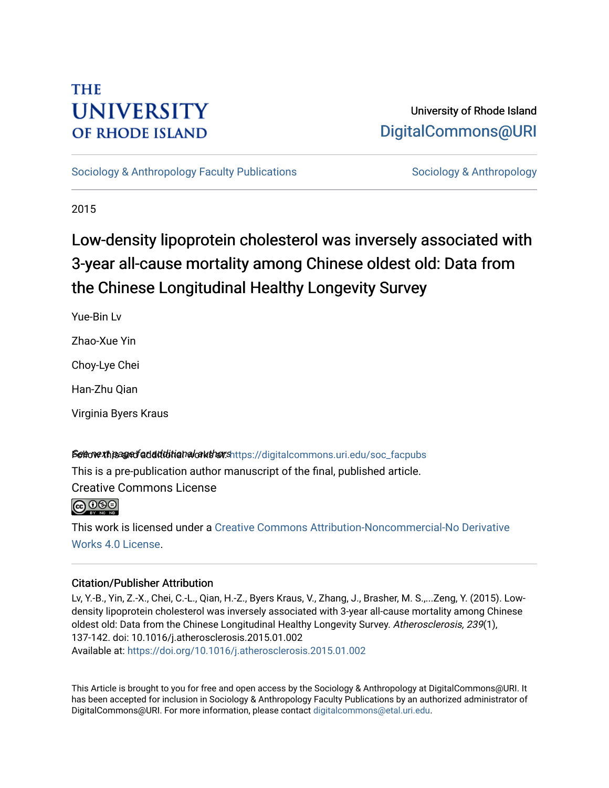# **THE UNIVERSITY OF RHODE ISLAND**

# University of Rhode Island [DigitalCommons@URI](https://digitalcommons.uri.edu/)

[Sociology & Anthropology Faculty Publications](https://digitalcommons.uri.edu/soc_facpubs) [Sociology & Anthropology](https://digitalcommons.uri.edu/soc) & Anthropology

2015

# Low-density lipoprotein cholesterol was inversely associated with 3-year all-cause mortality among Chinese oldest old: Data from the Chinese Longitudinal Healthy Longevity Survey

Yue-Bin Lv

Zhao-Xue Yin

Choy-Lye Chei

Han-Zhu Qian

Virginia Byers Kraus

## Settovext page fadditional authors https://digitalcommons.uri.edu/soc\_facpubs

This is a pre-publication author manuscript of the final, published article. Creative Commons License

**@** 000

This work is licensed under a [Creative Commons Attribution-Noncommercial-No Derivative](https://creativecommons.org/licenses/by-nc-nd/4.0/)  [Works 4.0 License](https://creativecommons.org/licenses/by-nc-nd/4.0/).

# Citation/Publisher Attribution

Lv, Y.-B., Yin, Z.-X., Chei, C.-L., Qian, H.-Z., Byers Kraus, V., Zhang, J., Brasher, M. S.,...Zeng, Y. (2015). Lowdensity lipoprotein cholesterol was inversely associated with 3-year all-cause mortality among Chinese oldest old: Data from the Chinese Longitudinal Healthy Longevity Survey. Atherosclerosis, 239(1), 137-142. doi: 10.1016/j.atherosclerosis.2015.01.002 Available at:<https://doi.org/10.1016/j.atherosclerosis.2015.01.002>

This Article is brought to you for free and open access by the Sociology & Anthropology at DigitalCommons@URI. It has been accepted for inclusion in Sociology & Anthropology Faculty Publications by an authorized administrator of DigitalCommons@URI. For more information, please contact [digitalcommons@etal.uri.edu.](mailto:digitalcommons@etal.uri.edu)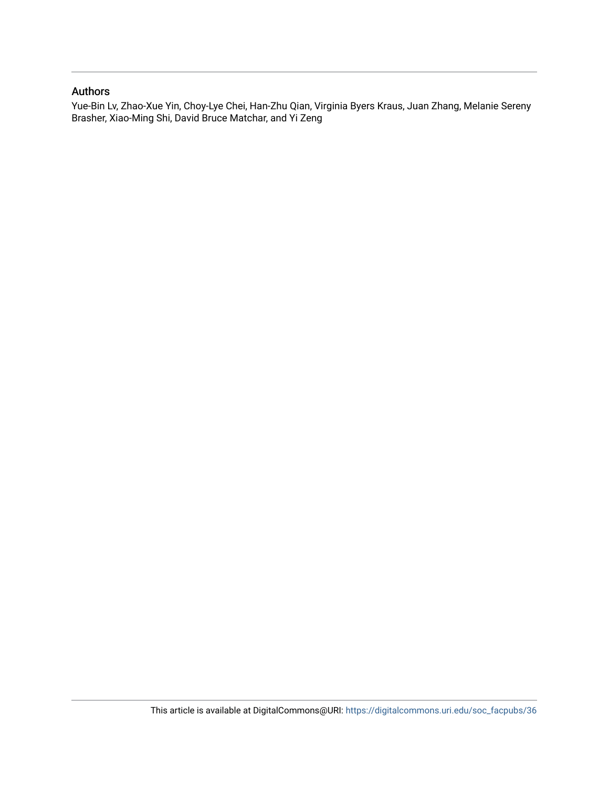## Authors

Yue-Bin Lv, Zhao-Xue Yin, Choy-Lye Chei, Han-Zhu Qian, Virginia Byers Kraus, Juan Zhang, Melanie Sereny Brasher, Xiao-Ming Shi, David Bruce Matchar, and Yi Zeng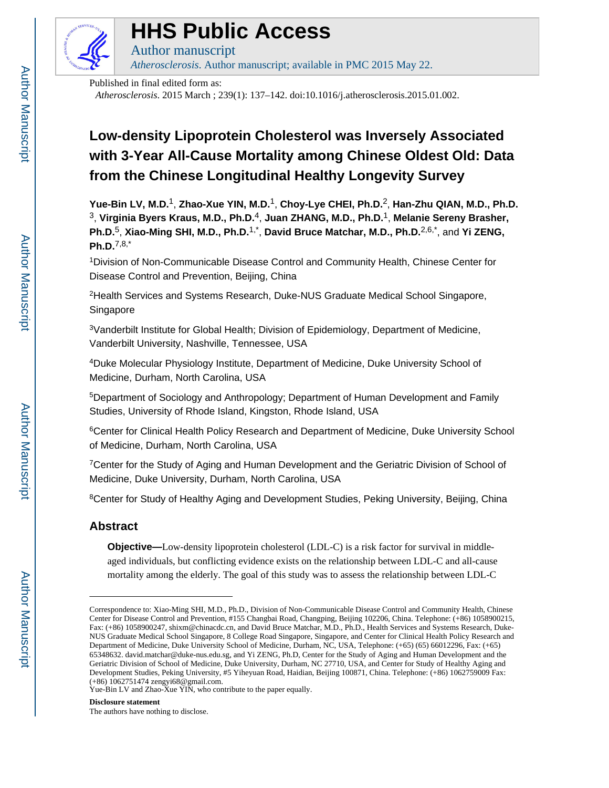

# **HHS Public Access**

Author manuscript *Atherosclerosis*. Author manuscript; available in PMC 2015 May 22.

Published in final edited form as:

*Atherosclerosis*. 2015 March ; 239(1): 137–142. doi:10.1016/j.atherosclerosis.2015.01.002.

# **Low-density Lipoprotein Cholesterol was Inversely Associated with 3-Year All-Cause Mortality among Chinese Oldest Old: Data from the Chinese Longitudinal Healthy Longevity Survey**

**Yue-Bin LV, M.D.**1, **Zhao-Xue YIN, M.D.**1, **Choy-Lye CHEI, Ph.D.**2, **Han-Zhu QIAN, M.D., Ph.D.** <sup>3</sup>, **Virginia Byers Kraus, M.D., Ph.D.**4, **Juan ZHANG, M.D., Ph.D.**1, **Melanie Sereny Brasher,**  Ph.D.<sup>5</sup>, Xiao-Ming SHI, M.D., Ph.D.<sup>1,\*</sup>, David Bruce Matchar, M.D., Ph.D.<sup>2,6,\*</sup>, and Yi ZENG, **Ph.D.**7,8,\*

<sup>1</sup>Division of Non-Communicable Disease Control and Community Health, Chinese Center for Disease Control and Prevention, Beijing, China

<sup>2</sup>Health Services and Systems Research, Duke-NUS Graduate Medical School Singapore, Singapore

<sup>3</sup>Vanderbilt Institute for Global Health; Division of Epidemiology, Department of Medicine, Vanderbilt University, Nashville, Tennessee, USA

<sup>4</sup>Duke Molecular Physiology Institute, Department of Medicine, Duke University School of Medicine, Durham, North Carolina, USA

<sup>5</sup>Department of Sociology and Anthropology; Department of Human Development and Family Studies, University of Rhode Island, Kingston, Rhode Island, USA

<sup>6</sup>Center for Clinical Health Policy Research and Department of Medicine, Duke University School of Medicine, Durham, North Carolina, USA

<sup>7</sup>Center for the Study of Aging and Human Development and the Geriatric Division of School of Medicine, Duke University, Durham, North Carolina, USA

<sup>8</sup>Center for Study of Healthy Aging and Development Studies, Peking University, Beijing, China

## **Abstract**

**Objective—**Low-density lipoprotein cholesterol (LDL-C) is a risk factor for survival in middleaged individuals, but conflicting evidence exists on the relationship between LDL-C and all-cause mortality among the elderly. The goal of this study was to assess the relationship between LDL-C

#### **Disclosure statement**

The authors have nothing to disclose.

Correspondence to: Xiao-Ming SHI, M.D., Ph.D., Division of Non-Communicable Disease Control and Community Health, Chinese Center for Disease Control and Prevention, #155 Changbai Road, Changping, Beijing 102206, China. Telephone: (+86) 1058900215, Fax: (+86) 1058900247, shixm@chinacdc.cn, and David Bruce Matchar, M.D., Ph.D., Health Services and Systems Research, Duke-NUS Graduate Medical School Singapore, 8 College Road Singapore, Singapore, and Center for Clinical Health Policy Research and Department of Medicine, Duke University School of Medicine, Durham, NC, USA, Telephone: (+65) (65) 66012296, Fax: (+65) 65348632. david.matchar@duke-nus.edu.sg, and Yi ZENG, Ph.D, Center for the Study of Aging and Human Development and the Geriatric Division of School of Medicine, Duke University, Durham, NC 27710, USA, and Center for Study of Healthy Aging and Development Studies, Peking University, #5 Yiheyuan Road, Haidian, Beijing 100871, China. Telephone: (+86) 1062759009 Fax: (+86) 1062751474 zengyi68@gmail.com.

Yue-Bin LV and Zhao-Xue YIN, who contribute to the paper equally.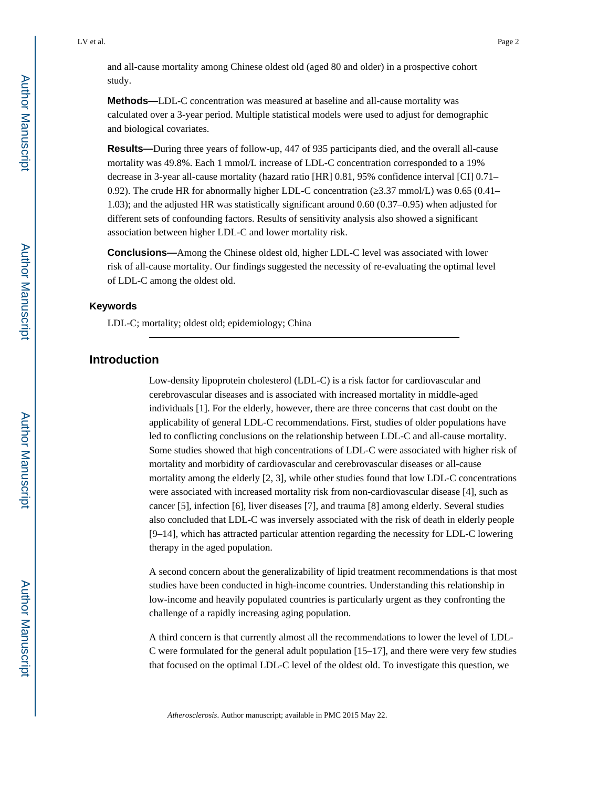and all-cause mortality among Chinese oldest old (aged 80 and older) in a prospective cohort study.

**Methods—**LDL-C concentration was measured at baseline and all-cause mortality was calculated over a 3-year period. Multiple statistical models were used to adjust for demographic and biological covariates.

**Results—**During three years of follow-up, 447 of 935 participants died, and the overall all-cause mortality was 49.8%. Each 1 mmol/L increase of LDL-C concentration corresponded to a 19% decrease in 3-year all-cause mortality (hazard ratio [HR] 0.81, 95% confidence interval [CI] 0.71– 0.92). The crude HR for abnormally higher LDL-C concentration ( $3.37$  mmol/L) was 0.65 (0.41– 1.03); and the adjusted HR was statistically significant around 0.60 (0.37–0.95) when adjusted for different sets of confounding factors. Results of sensitivity analysis also showed a significant association between higher LDL-C and lower mortality risk.

**Conclusions—**Among the Chinese oldest old, higher LDL-C level was associated with lower risk of all-cause mortality. Our findings suggested the necessity of re-evaluating the optimal level of LDL-C among the oldest old.

#### **Keywords**

LDL-C; mortality; oldest old; epidemiology; China

### **Introduction**

Low-density lipoprotein cholesterol (LDL-C) is a risk factor for cardiovascular and cerebrovascular diseases and is associated with increased mortality in middle-aged individuals [1]. For the elderly, however, there are three concerns that cast doubt on the applicability of general LDL-C recommendations. First, studies of older populations have led to conflicting conclusions on the relationship between LDL-C and all-cause mortality. Some studies showed that high concentrations of LDL-C were associated with higher risk of mortality and morbidity of cardiovascular and cerebrovascular diseases or all-cause mortality among the elderly [2, 3], while other studies found that low LDL-C concentrations were associated with increased mortality risk from non-cardiovascular disease [4], such as cancer [5], infection [6], liver diseases [7], and trauma [8] among elderly. Several studies also concluded that LDL-C was inversely associated with the risk of death in elderly people [9–14], which has attracted particular attention regarding the necessity for LDL-C lowering therapy in the aged population.

A second concern about the generalizability of lipid treatment recommendations is that most studies have been conducted in high-income countries. Understanding this relationship in low-income and heavily populated countries is particularly urgent as they confronting the challenge of a rapidly increasing aging population.

A third concern is that currently almost all the recommendations to lower the level of LDL-C were formulated for the general adult population [15–17], and there were very few studies that focused on the optimal LDL-C level of the oldest old. To investigate this question, we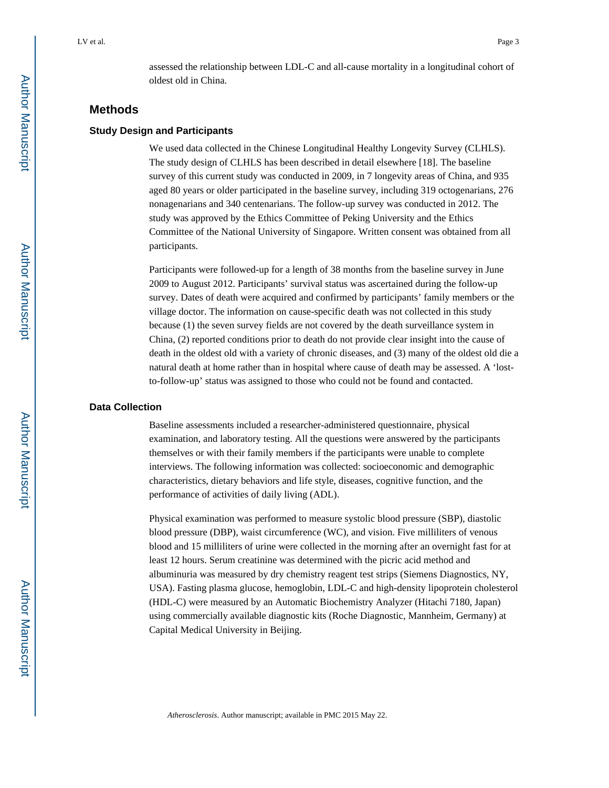assessed the relationship between LDL-C and all-cause mortality in a longitudinal cohort of oldest old in China.

## **Methods**

#### **Study Design and Participants**

We used data collected in the Chinese Longitudinal Healthy Longevity Survey (CLHLS). The study design of CLHLS has been described in detail elsewhere [18]. The baseline survey of this current study was conducted in 2009, in 7 longevity areas of China, and 935 aged 80 years or older participated in the baseline survey, including 319 octogenarians, 276 nonagenarians and 340 centenarians. The follow-up survey was conducted in 2012. The study was approved by the Ethics Committee of Peking University and the Ethics Committee of the National University of Singapore. Written consent was obtained from all participants.

Participants were followed-up for a length of 38 months from the baseline survey in June 2009 to August 2012. Participants' survival status was ascertained during the follow-up survey. Dates of death were acquired and confirmed by participants' family members or the village doctor. The information on cause-specific death was not collected in this study because (1) the seven survey fields are not covered by the death surveillance system in China, (2) reported conditions prior to death do not provide clear insight into the cause of death in the oldest old with a variety of chronic diseases, and (3) many of the oldest old die a natural death at home rather than in hospital where cause of death may be assessed. A 'lostto-follow-up' status was assigned to those who could not be found and contacted.

#### **Data Collection**

Baseline assessments included a researcher-administered questionnaire, physical examination, and laboratory testing. All the questions were answered by the participants themselves or with their family members if the participants were unable to complete interviews. The following information was collected: socioeconomic and demographic characteristics, dietary behaviors and life style, diseases, cognitive function, and the performance of activities of daily living (ADL).

Physical examination was performed to measure systolic blood pressure (SBP), diastolic blood pressure (DBP), waist circumference (WC), and vision. Five milliliters of venous blood and 15 milliliters of urine were collected in the morning after an overnight fast for at least 12 hours. Serum creatinine was determined with the picric acid method and albuminuria was measured by dry chemistry reagent test strips (Siemens Diagnostics, NY, USA). Fasting plasma glucose, hemoglobin, LDL-C and high-density lipoprotein cholesterol (HDL-C) were measured by an Automatic Biochemistry Analyzer (Hitachi 7180, Japan) using commercially available diagnostic kits (Roche Diagnostic, Mannheim, Germany) at Capital Medical University in Beijing.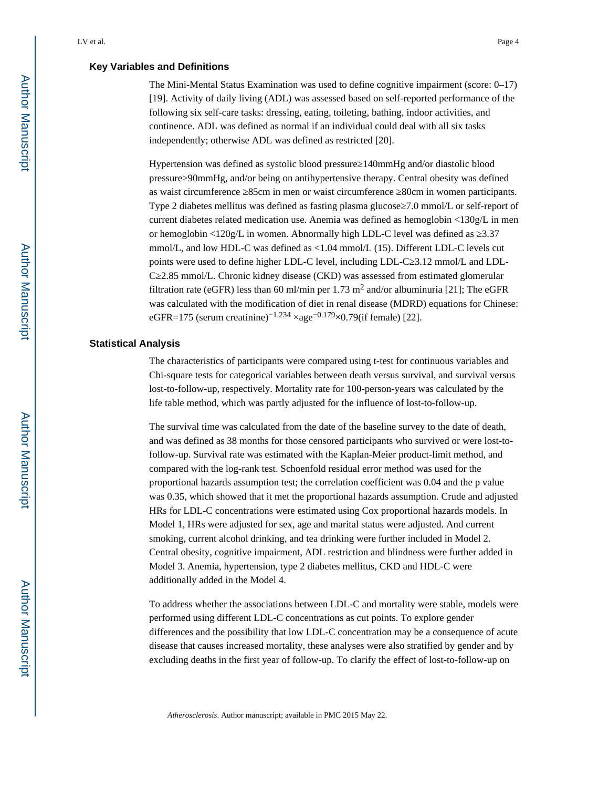#### **Key Variables and Definitions**

The Mini-Mental Status Examination was used to define cognitive impairment (score:  $0-17$ ) [19]. Activity of daily living (ADL) was assessed based on self-reported performance of the following six self-care tasks: dressing, eating, toileting, bathing, indoor activities, and continence. ADL was defined as normal if an individual could deal with all six tasks independently; otherwise ADL was defined as restricted [20].

Hypertension was defined as systolic blood pressure 140mmHg and/or diastolic blood pressure≥90mmHg, and/or being on antihypertensive therapy. Central obesity was defined as waist circumference ≥85cm in men or waist circumference ≥80cm in women participants. Type 2 diabetes mellitus was defined as fasting plasma glucose 7.0 mmol/L or self-report of current diabetes related medication use. Anemia was defined as hemoglobin  $\langle 130g/L \rangle$  in men or hemoglobin  $\langle 120g/L \rangle$  in women. Abnormally high LDL-C level was defined as  $3.37$ mmol/L, and low HDL-C was defined as <1.04 mmol/L (15). Different LDL-C levels cut points were used to define higher LDL-C level, including LDL-C 3.12 mmol/L and LDL-C≥2.85 mmol/L. Chronic kidney disease (CKD) was assessed from estimated glomerular filtration rate (eGFR) less than 60 ml/min per 1.73 m<sup>2</sup> and/or albuminuria [21]; The eGFR was calculated with the modification of diet in renal disease (MDRD) equations for Chinese: eGFR=175 (serum creatinine)<sup>-1.234</sup> ×age<sup>-0.179</sup>×0.79(if female) [22].

#### **Statistical Analysis**

The characteristics of participants were compared using t-test for continuous variables and Chi-square tests for categorical variables between death versus survival, and survival versus lost-to-follow-up, respectively. Mortality rate for 100-person-years was calculated by the life table method, which was partly adjusted for the influence of lost-to-follow-up.

The survival time was calculated from the date of the baseline survey to the date of death, and was defined as 38 months for those censored participants who survived or were lost-tofollow-up. Survival rate was estimated with the Kaplan-Meier product-limit method, and compared with the log-rank test. Schoenfold residual error method was used for the proportional hazards assumption test; the correlation coefficient was 0.04 and the p value was 0.35, which showed that it met the proportional hazards assumption. Crude and adjusted HRs for LDL-C concentrations were estimated using Cox proportional hazards models. In Model 1, HRs were adjusted for sex, age and marital status were adjusted. And current smoking, current alcohol drinking, and tea drinking were further included in Model 2. Central obesity, cognitive impairment, ADL restriction and blindness were further added in Model 3. Anemia, hypertension, type 2 diabetes mellitus, CKD and HDL-C were additionally added in the Model 4.

To address whether the associations between LDL-C and mortality were stable, models were performed using different LDL-C concentrations as cut points. To explore gender differences and the possibility that low LDL-C concentration may be a consequence of acute disease that causes increased mortality, these analyses were also stratified by gender and by excluding deaths in the first year of follow-up. To clarify the effect of lost-to-follow-up on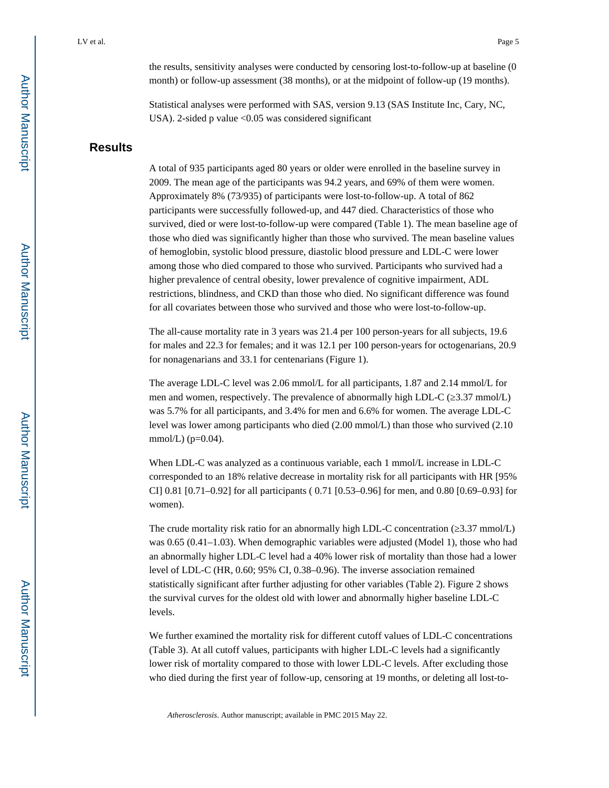the results, sensitivity analyses were conducted by censoring lost-to-follow-up at baseline (0 month) or follow-up assessment (38 months), or at the midpoint of follow-up (19 months).

Statistical analyses were performed with SAS, version 9.13 (SAS Institute Inc, Cary, NC, USA). 2-sided p value  $\langle 0.05 \rangle$  was considered significant

### **Results**

A total of 935 participants aged 80 years or older were enrolled in the baseline survey in 2009. The mean age of the participants was 94.2 years, and 69% of them were women. Approximately 8% (73/935) of participants were lost-to-follow-up. A total of 862 participants were successfully followed-up, and 447 died. Characteristics of those who survived, died or were lost-to-follow-up were compared (Table 1). The mean baseline age of those who died was significantly higher than those who survived. The mean baseline values of hemoglobin, systolic blood pressure, diastolic blood pressure and LDL-C were lower among those who died compared to those who survived. Participants who survived had a higher prevalence of central obesity, lower prevalence of cognitive impairment, ADL restrictions, blindness, and CKD than those who died. No significant difference was found for all covariates between those who survived and those who were lost-to-follow-up.

The all-cause mortality rate in 3 years was 21.4 per 100 person-years for all subjects, 19.6 for males and 22.3 for females; and it was 12.1 per 100 person-years for octogenarians, 20.9 for nonagenarians and 33.1 for centenarians (Figure 1).

The average LDL-C level was 2.06 mmol/L for all participants, 1.87 and 2.14 mmol/L for men and women, respectively. The prevalence of abnormally high LDL-C ( $\,3.37 \text{ mmol/L}$ ) was 5.7% for all participants, and 3.4% for men and 6.6% for women. The average LDL-C level was lower among participants who died (2.00 mmol/L) than those who survived (2.10 mmol/L)  $(p=0.04)$ .

When LDL-C was analyzed as a continuous variable, each 1 mmol/L increase in LDL-C corresponded to an 18% relative decrease in mortality risk for all participants with HR [95% CI] 0.81 [0.71–0.92] for all participants ( 0.71 [0.53–0.96] for men, and 0.80 [0.69–0.93] for women).

The crude mortality risk ratio for an abnormally high LDL-C concentration  $(3.37 \text{ mmol/L})$ was 0.65 (0.41–1.03). When demographic variables were adjusted (Model 1), those who had an abnormally higher LDL-C level had a 40% lower risk of mortality than those had a lower level of LDL-C (HR, 0.60; 95% CI, 0.38–0.96). The inverse association remained statistically significant after further adjusting for other variables (Table 2). Figure 2 shows the survival curves for the oldest old with lower and abnormally higher baseline LDL-C levels.

We further examined the mortality risk for different cutoff values of LDL-C concentrations (Table 3). At all cutoff values, participants with higher LDL-C levels had a significantly lower risk of mortality compared to those with lower LDL-C levels. After excluding those who died during the first year of follow-up, censoring at 19 months, or deleting all lost-to-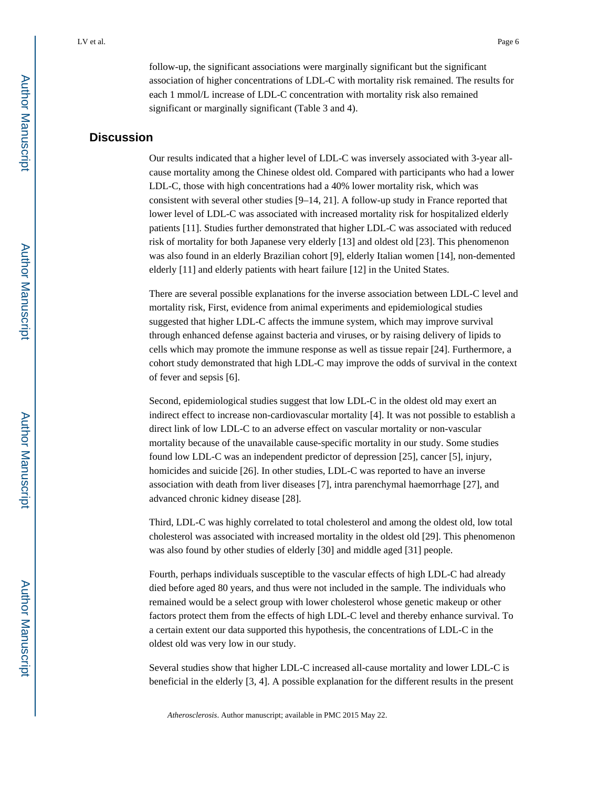follow-up, the significant associations were marginally significant but the significant association of higher concentrations of LDL-C with mortality risk remained. The results for each 1 mmol/L increase of LDL-C concentration with mortality risk also remained significant or marginally significant (Table 3 and 4).

## **Discussion**

Our results indicated that a higher level of LDL-C was inversely associated with 3-year allcause mortality among the Chinese oldest old. Compared with participants who had a lower LDL-C, those with high concentrations had a 40% lower mortality risk, which was consistent with several other studies [9–14, 21]. A follow-up study in France reported that lower level of LDL-C was associated with increased mortality risk for hospitalized elderly patients [11]. Studies further demonstrated that higher LDL-C was associated with reduced risk of mortality for both Japanese very elderly [13] and oldest old [23]. This phenomenon was also found in an elderly Brazilian cohort [9], elderly Italian women [14], non-demented elderly [11] and elderly patients with heart failure [12] in the United States.

There are several possible explanations for the inverse association between LDL-C level and mortality risk, First, evidence from animal experiments and epidemiological studies suggested that higher LDL-C affects the immune system, which may improve survival through enhanced defense against bacteria and viruses, or by raising delivery of lipids to cells which may promote the immune response as well as tissue repair [24]. Furthermore, a cohort study demonstrated that high LDL-C may improve the odds of survival in the context of fever and sepsis [6].

Second, epidemiological studies suggest that low LDL-C in the oldest old may exert an indirect effect to increase non-cardiovascular mortality [4]. It was not possible to establish a direct link of low LDL-C to an adverse effect on vascular mortality or non-vascular mortality because of the unavailable cause-specific mortality in our study. Some studies found low LDL-C was an independent predictor of depression [25], cancer [5], injury, homicides and suicide [26]. In other studies, LDL-C was reported to have an inverse association with death from liver diseases [7], intra parenchymal haemorrhage [27], and advanced chronic kidney disease [28].

Third, LDL-C was highly correlated to total cholesterol and among the oldest old, low total cholesterol was associated with increased mortality in the oldest old [29]. This phenomenon was also found by other studies of elderly [30] and middle aged [31] people.

Fourth, perhaps individuals susceptible to the vascular effects of high LDL-C had already died before aged 80 years, and thus were not included in the sample. The individuals who remained would be a select group with lower cholesterol whose genetic makeup or other factors protect them from the effects of high LDL-C level and thereby enhance survival. To a certain extent our data supported this hypothesis, the concentrations of LDL-C in the oldest old was very low in our study.

Several studies show that higher LDL-C increased all-cause mortality and lower LDL-C is beneficial in the elderly [3, 4]. A possible explanation for the different results in the present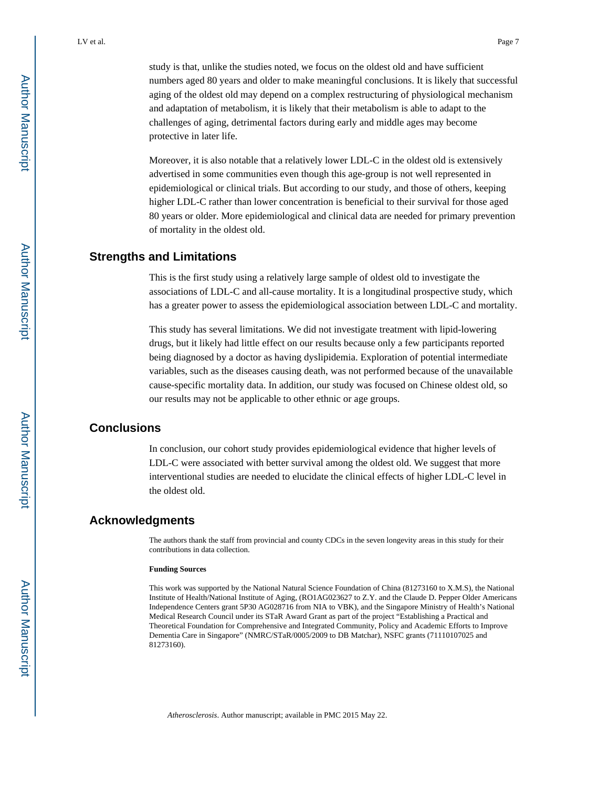study is that, unlike the studies noted, we focus on the oldest old and have sufficient numbers aged 80 years and older to make meaningful conclusions. It is likely that successful aging of the oldest old may depend on a complex restructuring of physiological mechanism and adaptation of metabolism, it is likely that their metabolism is able to adapt to the challenges of aging, detrimental factors during early and middle ages may become protective in later life.

Moreover, it is also notable that a relatively lower LDL-C in the oldest old is extensively advertised in some communities even though this age-group is not well represented in epidemiological or clinical trials. But according to our study, and those of others, keeping higher LDL-C rather than lower concentration is beneficial to their survival for those aged 80 years or older. More epidemiological and clinical data are needed for primary prevention of mortality in the oldest old.

#### **Strengths and Limitations**

This is the first study using a relatively large sample of oldest old to investigate the associations of LDL-C and all-cause mortality. It is a longitudinal prospective study, which has a greater power to assess the epidemiological association between LDL-C and mortality.

This study has several limitations. We did not investigate treatment with lipid-lowering drugs, but it likely had little effect on our results because only a few participants reported being diagnosed by a doctor as having dyslipidemia. Exploration of potential intermediate variables, such as the diseases causing death, was not performed because of the unavailable cause-specific mortality data. In addition, our study was focused on Chinese oldest old, so our results may not be applicable to other ethnic or age groups.

#### **Conclusions**

In conclusion, our cohort study provides epidemiological evidence that higher levels of LDL-C were associated with better survival among the oldest old. We suggest that more interventional studies are needed to elucidate the clinical effects of higher LDL-C level in the oldest old.

### **Acknowledgments**

The authors thank the staff from provincial and county CDCs in the seven longevity areas in this study for their contributions in data collection.

#### **Funding Sources**

This work was supported by the National Natural Science Foundation of China (81273160 to X.M.S), the National Institute of Health/National Institute of Aging, (RO1AG023627 to Z.Y. and the Claude D. Pepper Older Americans Independence Centers grant 5P30 AG028716 from NIA to VBK), and the Singapore Ministry of Health's National Medical Research Council under its STaR Award Grant as part of the project "Establishing a Practical and Theoretical Foundation for Comprehensive and Integrated Community, Policy and Academic Efforts to Improve Dementia Care in Singapore" (NMRC/STaR/0005/2009 to DB Matchar), NSFC grants (71110107025 and 81273160).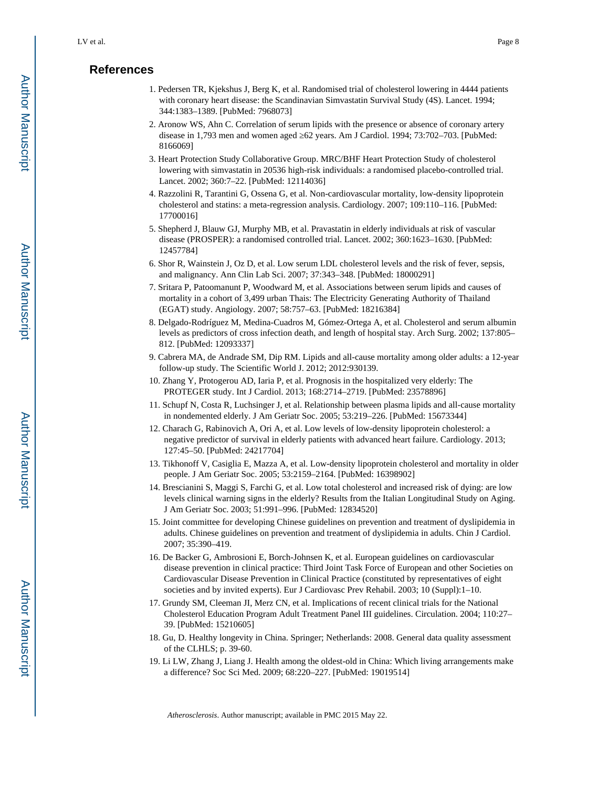## **References**

- 1. Pedersen TR, Kjekshus J, Berg K, et al. Randomised trial of cholesterol lowering in 4444 patients with coronary heart disease: the Scandinavian Simvastatin Survival Study (4S). Lancet. 1994; 344:1383–1389. [PubMed: 7968073]
- 2. Aronow WS, Ahn C. Correlation of serum lipids with the presence or absence of coronary artery disease in 1,793 men and women aged 62 years. Am J Cardiol. 1994; 73:702-703. [PubMed: 8166069]
- 3. Heart Protection Study Collaborative Group. MRC/BHF Heart Protection Study of cholesterol lowering with simvastatin in 20536 high-risk individuals: a randomised placebo-controlled trial. Lancet. 2002; 360:7–22. [PubMed: 12114036]
- 4. Razzolini R, Tarantini G, Ossena G, et al. Non-cardiovascular mortality, low-density lipoprotein cholesterol and statins: a meta-regression analysis. Cardiology. 2007; 109:110–116. [PubMed: 17700016]
- 5. Shepherd J, Blauw GJ, Murphy MB, et al. Pravastatin in elderly individuals at risk of vascular disease (PROSPER): a randomised controlled trial. Lancet. 2002; 360:1623–1630. [PubMed: 12457784]
- 6. Shor R, Wainstein J, Oz D, et al. Low serum LDL cholesterol levels and the risk of fever, sepsis, and malignancy. Ann Clin Lab Sci. 2007; 37:343–348. [PubMed: 18000291]
- 7. Sritara P, Patoomanunt P, Woodward M, et al. Associations between serum lipids and causes of mortality in a cohort of 3,499 urban Thais: The Electricity Generating Authority of Thailand (EGAT) study. Angiology. 2007; 58:757–63. [PubMed: 18216384]
- 8. Delgado-Rodríguez M, Medina-Cuadros M, Gómez-Ortega A, et al. Cholesterol and serum albumin levels as predictors of cross infection death, and length of hospital stay. Arch Surg. 2002; 137:805– 812. [PubMed: 12093337]
- 9. Cabrera MA, de Andrade SM, Dip RM. Lipids and all-cause mortality among older adults: a 12-year follow-up study. The Scientific World J. 2012; 2012:930139.
- 10. Zhang Y, Protogerou AD, Iaria P, et al. Prognosis in the hospitalized very elderly: The PROTEGER study. Int J Cardiol. 2013; 168:2714–2719. [PubMed: 23578896]
- 11. Schupf N, Costa R, Luchsinger J, et al. Relationship between plasma lipids and all-cause mortality in nondemented elderly. J Am Geriatr Soc. 2005; 53:219–226. [PubMed: 15673344]
- 12. Charach G, Rabinovich A, Ori A, et al. Low levels of low-density lipoprotein cholesterol: a negative predictor of survival in elderly patients with advanced heart failure. Cardiology. 2013; 127:45–50. [PubMed: 24217704]
- 13. Tikhonoff V, Casiglia E, Mazza A, et al. Low-density lipoprotein cholesterol and mortality in older people. J Am Geriatr Soc. 2005; 53:2159–2164. [PubMed: 16398902]
- 14. Brescianini S, Maggi S, Farchi G, et al. Low total cholesterol and increased risk of dying: are low levels clinical warning signs in the elderly? Results from the Italian Longitudinal Study on Aging. J Am Geriatr Soc. 2003; 51:991–996. [PubMed: 12834520]
- 15. Joint committee for developing Chinese guidelines on prevention and treatment of dyslipidemia in adults. Chinese guidelines on prevention and treatment of dyslipidemia in adults. Chin J Cardiol. 2007; 35:390–419.
- 16. De Backer G, Ambrosioni E, Borch-Johnsen K, et al. European guidelines on cardiovascular disease prevention in clinical practice: Third Joint Task Force of European and other Societies on Cardiovascular Disease Prevention in Clinical Practice (constituted by representatives of eight societies and by invited experts). Eur J Cardiovasc Prev Rehabil. 2003; 10 (Suppl):1–10.
- 17. Grundy SM, Cleeman JI, Merz CN, et al. Implications of recent clinical trials for the National Cholesterol Education Program Adult Treatment Panel III guidelines. Circulation. 2004; 110:27– 39. [PubMed: 15210605]
- 18. Gu, D. Healthy longevity in China. Springer; Netherlands: 2008. General data quality assessment of the CLHLS; p. 39-60.
- 19. Li LW, Zhang J, Liang J. Health among the oldest-old in China: Which living arrangements make a difference? Soc Sci Med. 2009; 68:220–227. [PubMed: 19019514]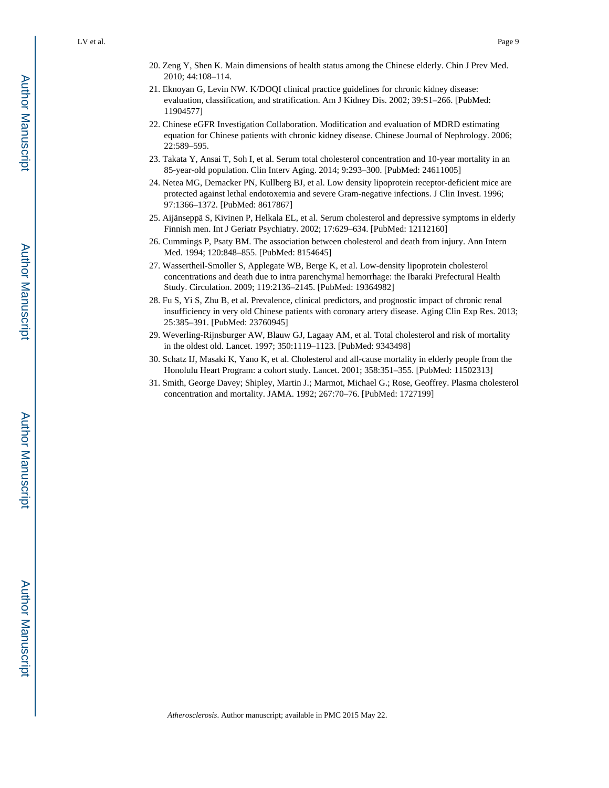- 21. Eknoyan G, Levin NW. K/DOQI clinical practice guidelines for chronic kidney disease: evaluation, classification, and stratification. Am J Kidney Dis. 2002; 39:S1–266. [PubMed: 11904577]
- 22. Chinese eGFR Investigation Collaboration. Modification and evaluation of MDRD estimating equation for Chinese patients with chronic kidney disease. Chinese Journal of Nephrology. 2006; 22:589–595.
- 23. Takata Y, Ansai T, Soh I, et al. Serum total cholesterol concentration and 10-year mortality in an 85-year-old population. Clin Interv Aging. 2014; 9:293–300. [PubMed: 24611005]
- 24. Netea MG, Demacker PN, Kullberg BJ, et al. Low density lipoprotein receptor-deficient mice are protected against lethal endotoxemia and severe Gram-negative infections. J Clin Invest. 1996; 97:1366–1372. [PubMed: 8617867]
- 25. Aijänseppä S, Kivinen P, Helkala EL, et al. Serum cholesterol and depressive symptoms in elderly Finnish men. Int J Geriatr Psychiatry. 2002; 17:629–634. [PubMed: 12112160]
- 26. Cummings P, Psaty BM. The association between cholesterol and death from injury. Ann Intern Med. 1994; 120:848–855. [PubMed: 8154645]
- 27. Wassertheil-Smoller S, Applegate WB, Berge K, et al. Low-density lipoprotein cholesterol concentrations and death due to intra parenchymal hemorrhage: the Ibaraki Prefectural Health Study. Circulation. 2009; 119:2136–2145. [PubMed: 19364982]
- 28. Fu S, Yi S, Zhu B, et al. Prevalence, clinical predictors, and prognostic impact of chronic renal insufficiency in very old Chinese patients with coronary artery disease. Aging Clin Exp Res. 2013; 25:385–391. [PubMed: 23760945]
- 29. Weverling-Rijnsburger AW, Blauw GJ, Lagaay AM, et al. Total cholesterol and risk of mortality in the oldest old. Lancet. 1997; 350:1119–1123. [PubMed: 9343498]
- 30. Schatz IJ, Masaki K, Yano K, et al. Cholesterol and all-cause mortality in elderly people from the Honolulu Heart Program: a cohort study. Lancet. 2001; 358:351–355. [PubMed: 11502313]
- 31. Smith, George Davey; Shipley, Martin J.; Marmot, Michael G.; Rose, Geoffrey. Plasma cholesterol concentration and mortality. JAMA. 1992; 267:70–76. [PubMed: 1727199]

Author Manuscript

Author Manuscript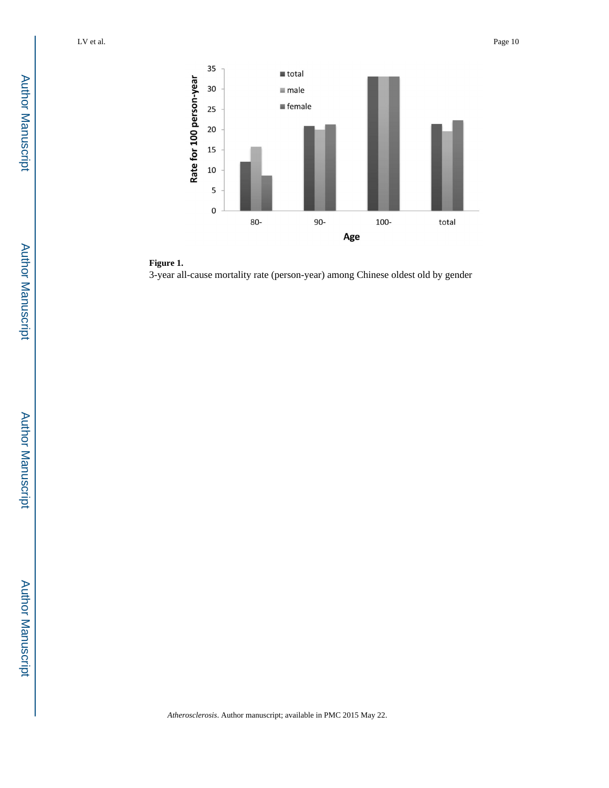



3-year all-cause mortality rate (person-year) among Chinese oldest old by gender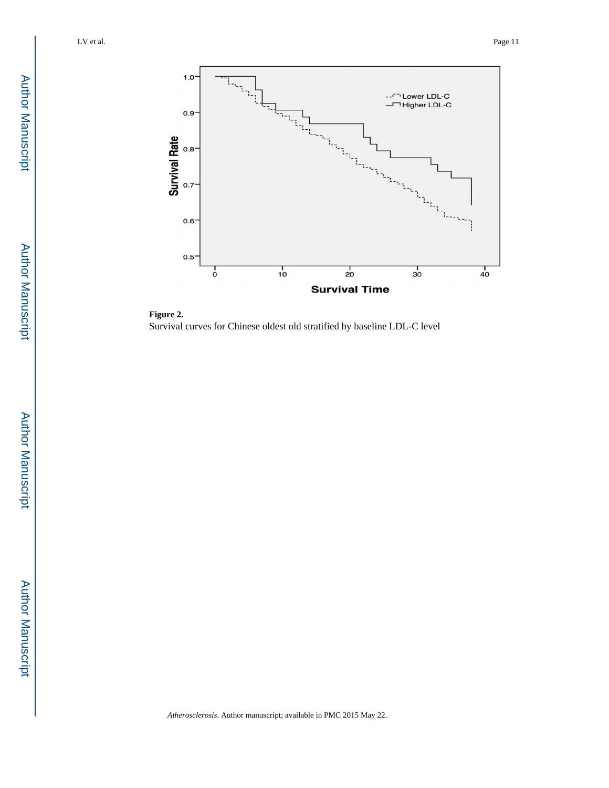

**Figure 2.**  Survival curves for Chinese oldest old stratified by baseline LDL-C level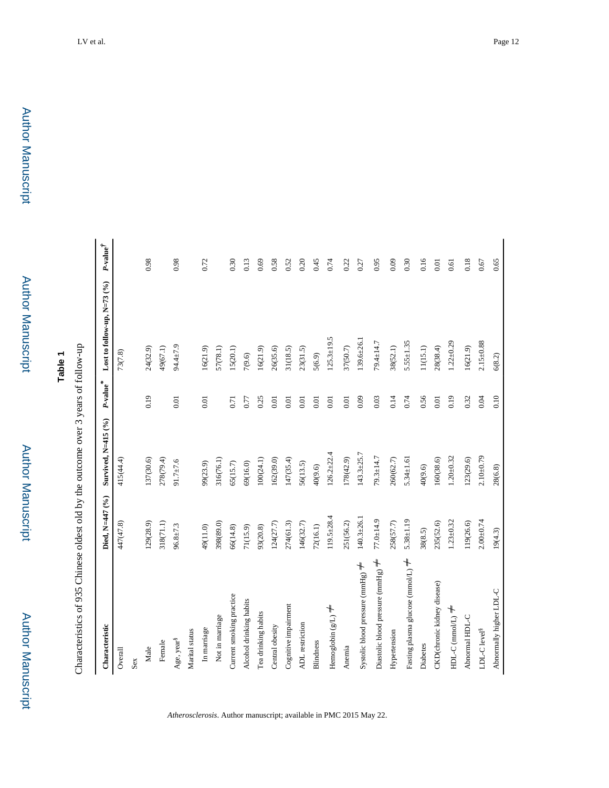Characteristics of 935 Chinese oldest old by the outcome over 3 years of follow-up Characteristics of 935 Chinese oldest old by the outcome over 3 years of follow-up

| Characteristic                         | Died, N=447 (%) | Survived, N=415 (%) | P-value <sup>*</sup> | Lost to follow-up, $N=73$ (%) | $\it P\text{-value}^\dagger$ |
|----------------------------------------|-----------------|---------------------|----------------------|-------------------------------|------------------------------|
| Overall                                | 447(47.8)       | 415(44.4)           |                      | 73(7.8)                       |                              |
| Sex                                    |                 |                     |                      |                               |                              |
| Male                                   | 129(28.9)       | 137(30.6)           | 0.19                 | 24(32.9)                      | 0.98                         |
| Female                                 | 318(71.1)       | 278(79.4)           |                      | 49(67.1)                      |                              |
| Age, year <sup>§</sup>                 | $96.8 + 7.3$    | $91.7 \pm 7.6$      | 0.01                 | 94.4±7.9                      | 0.98                         |
| Marital status                         |                 |                     |                      |                               |                              |
| In marriage                            | 49(11.0)        | 99(23.9)            | 0.01                 | 16(21.9)                      | 0.72                         |
| Not in marriage                        | 398(89.0)       | 316(76.1)           |                      | 57(78.1)                      |                              |
| Current smoking practice               | 66(14.8)        | 65(15.7)            | 0.71                 | 15(20.1)                      | 0.30                         |
| Alcohol drinking habits                | 71(15.9)        | 69(16.0)            | 0.77                 | 7(9.6)                        | 0.13                         |
| Tea drinking habits                    | 93(20.8)        | 100(24.1)           | 0.25                 | 16(21.9)                      | 0.69                         |
| Central obesity                        | 124(27.7)       | 162(39.0)           | 0.01                 | 26(35.6)                      | 0.58                         |
| Cognitive impairment                   | 274(61.3)       | 147(35.4)           | 0.01                 | 31(18.5)                      | 0.52                         |
| ADL restriction                        | 146(32.7)       | 56(13.5)            | 0.01                 | 23(31.5)                      | 0.20                         |
| <b>Blindness</b>                       | 72(16.1)        | 40(9.6)             | 0.01                 | 5(6.9)                        | 0.45                         |
| Hemoglobin $(g/L) \neq$                | $119.5 + 28.4$  | $126.2 + 22.4$      | 0.01                 | $125.3 + 19.5$                | 0.74                         |
| Anemia                                 | 251(56.2)       | 178(42.9)           | 0.01                 | 37(50.7)                      | 0.22                         |
| Systolic blood pressure (mmHg) $\neq$  | $140.3 + 26.1$  | $143.3 + 25.7$      | 0.09                 | 139.6±26.1                    | 0.27                         |
| Diastolic blood pressure (mmHg) $\neq$ | $77.0 + 14.9$   | $79.3 \pm 14.7$     | 0.03                 | 79.4±14.7                     | 0.95                         |
| Hypertension                           | 258(57.7)       | 260(62.7)           | 0.14                 | 38(52.1)                      | 0.09                         |
| Fasting plasma glucose (mmol/L) $\neq$ | $5.38 + 1.19$   | $5.34 \pm 1.61$     | 0.74                 | $5.55 \pm 1.35$               | 0.30                         |
| Diabetes                               | 38(8.5)         | 40(9.6)             | 0.56                 | 11(15.1)                      | 0.16                         |
| CKD(chronic kidney disease)            | 235(52.6)       | 160(38.6)           | 0.01                 | 28(38.4)                      | 0.01                         |
| $HDL-C$ (mmol $L$ ) $\neq$             | $1.23 \pm 0.32$ | $1.20 \pm 0.32$     | 0.19                 | $1.22 \pm 0.29$               | 0.61                         |
| Abnormal HDL-C                         | 119(26.6)       | 123(29.6)           | 0.32                 | 16(21.9)                      | 0.18                         |
| ${\rm LDL\text{-}C\, levels}^8$        | $2.00 + 0.74$   | $2.10 + 0.79$       | 0.04                 | $2.15 \pm 0.88$               | 0.67                         |
| Abnormally higher LDL-C                | 19(4.3)         | 28(6.8)             | 0.10                 | 6(8.2)                        | 0.65                         |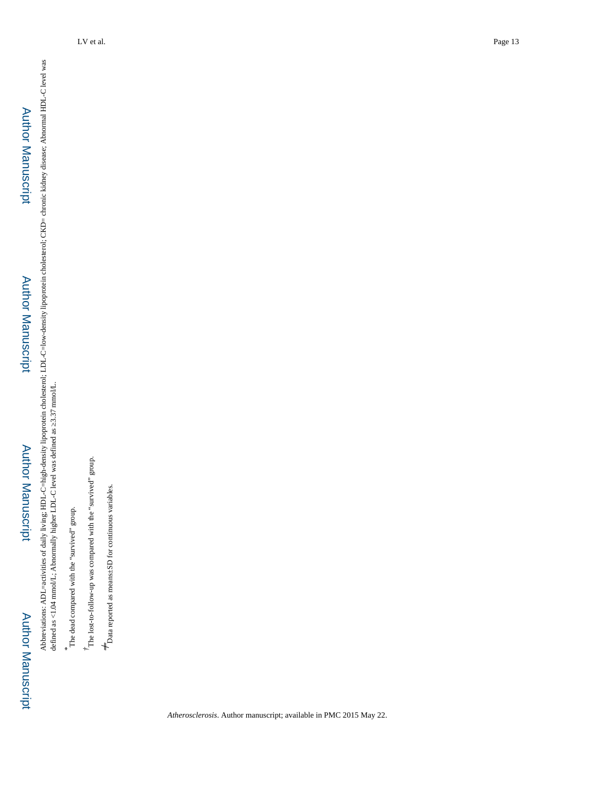Author Manuscript

Author Manuscript

Abbreviations: ADL=activities of daily living; HDL-C=high-density lipoprotein cholesterol; LDL-C=low-density lipoprotein cholesterol; CKD= chronic kidney disease; Abnormal HDL-C level was<br>defined as <1.04 mmolL; Abnormally Abbreviations: ADL=activities of daily living; HDL-C=high-density lipoprotein cholesterol; LDL-C=low-density lipoprotein cholesterol; CKD= chronic kidney disease; Abnormal HDL-C level was defined as <1.04 mmol/L; Abnormally higher LDL-C level was defined as  $3.37$  mmol/L.

The dead compared with the "survived" group.

*\**

 $^{\dagger}$  The lost-to-follow-up was compared with the "survived" group. *†*The lost-to-follow-up was compared with the "survived" group.

 $+$  Data reported as means:<br>5D for continuous variables.  $+$  Data reported as means±SD for continuous variables.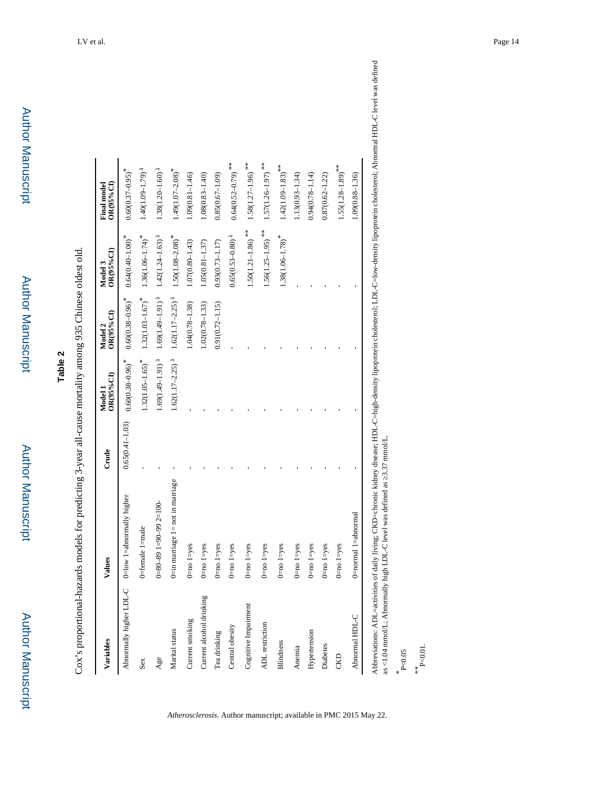| ٠ |
|---|
|   |
|   |
| ľ |
|   |
|   |
|   |
| ١ |
| i |
|   |
|   |
|   |
|   |
|   |
|   |
|   |
|   |
|   |
|   |
|   |
| j |
|   |
|   |
|   |
|   |

Cox's proportional-hazards models for predicting 3-year all-cause mortality among 935 Chinese oldest old. Cox's proportional-hazards models for predicting 3-year all-cause mortality among 935 Chinese oldest old.

| Variables                | Values                                 | Crude               | OR(95%CI)<br>Model 1             | $OR(95\%CI)$<br>Model 2          | OR(95%CI)<br>Model 3              | OR(95%CI)<br><b>Final model</b>   |
|--------------------------|----------------------------------------|---------------------|----------------------------------|----------------------------------|-----------------------------------|-----------------------------------|
| Abnormally higher LDL-C  | 0=low 1=abnormally higher              | $0.65(0.41 - 1.03)$ | $0.60(0.38 - 0.96)$ <sup>*</sup> | $0.60(0.38 - 0.96)^*$            | $0.64(0.40-1.00)$ <sup>*</sup>    | $0.60(0.37-0.95)$ <sup>*</sup>    |
| Sex                      | 0=female 1=male                        |                     | $1.32(1.05 - 1.65)$ <sup>*</sup> | $1.32(1.03 - 1.67)$ <sup>*</sup> | $1.36(1.06-1.74)$ <sup>*</sup>    | $1.40(1.09 - 1.79)$ <sup>a</sup>  |
| Age                      | $0 - 80 - 891 - 90 - 992 = 100$        |                     | $1.69(1.49 - 1.91)^{1}$          | $1.69(1.49 - 1.91)^{1}$          | $1.42(1.24 - 1.63)$ <sup>å</sup>  | $1.38(1.20 - 1.60)$ <sup>a</sup>  |
| Marital status           | $0$ =in marriage $1$ = not in marriage |                     | $1.62(1.17-2.25)$ <sup>a</sup>   | $1.62(1.17-2.25)$ <sup>å</sup>   | $1.50(1.08 - 2.08)$ <sup>*</sup>  | $1.49(1.07 - 2.08)$ <sup>*</sup>  |
| Current smoking          | $0$ =no $1$ =yes                       |                     |                                  | $1.04(0.78 - 1.38)$              | $1.07(0.80 - 1.43)$               | $1.09(0.81 - 1.46)$               |
| Current alcohol drinking | $0 = no$ $1 = yes$                     |                     |                                  | $1.02(0.78 - 1.33)$              | $1.05(0.81 - 1.37)$               | $1.08(0.83 - 1.40)$               |
| Tea drinking             | $0$ =no $1$ =yes                       |                     |                                  | $0.91(0.72 - 1.15)$              | $0.93(0.73 - 1.17)$               | $0.85(0.67 - 1.09)$               |
| Central obesity          | $0 = no$ $1 = yes$                     |                     |                                  |                                  | $0.65(0.53 - 0.80)$ <sup>å</sup>  | $0.64(0.52 - 0.79)$ **            |
| Cognitive Impairment     | $0$ =no $1$ =yes                       |                     |                                  |                                  | $1.50(1.21 - 1.86)$ $^{\ast\ast}$ | $1.58(1.27-1.96)$ **              |
| <b>ADL</b> restriction   | $0 = no 1 = yes$                       |                     |                                  |                                  | $1.56(1.25-1.95)$ <sup>**</sup>   | $1.57(1.26 - 1.97)$ <sup>**</sup> |
| <b>Blindness</b>         | $0 = no 1 = yes$                       |                     |                                  |                                  | $1.38(1.06-1.78)$ <sup>*</sup>    | $1.42(1.09-1.83)$ **              |
| Anemia                   | $0 = no$ $1 = yes$                     |                     |                                  |                                  |                                   | $1.13(0.93 - 1.34)$               |
| Hypertension             | $0 = no$ $1 = yes$                     |                     |                                  |                                  |                                   | $0.94(0.78 - 1.14)$               |
| Diabetes                 | $0 = no$ $1 = yes$                     |                     |                                  |                                  |                                   | $0.87(0.62 - 1.22)$               |
| CKD                      | $0$ =no $1$ =yes                       |                     |                                  |                                  |                                   | $1.55(1.28 - 1.89)$ <sup>**</sup> |
| Abnormal HDL-C           | 0=normal 1=abnormal                    |                     |                                  |                                  |                                   | 1.09(0.88-1.36)                   |

*Atherosclerosis*. Author manuscript; available in PMC 2015 May 22.

Abbreviations: ADL=activities of daily living; CKD=chronic kidney disease; HDL-C=high-density lipoprotein cholestory lipoprotein cholesterol; Abnormal HDL-C level was defined as <1.04 mmol/L; Abnormally high LDL-C level wa Abbreviations: ADL=activities of daily living; CKD=chronic kidney disease; HDL-C=high-density lipoprotein cholesterol; LDL-C=low-density lipoprotein cholesterol; Abnormal HDL-C level was defined as <1.04 mmol/L; Abnormally high LDL-C level was defined as ≥3.37 mmol/L.

*\** P<0.05

*\*\** P<0.01.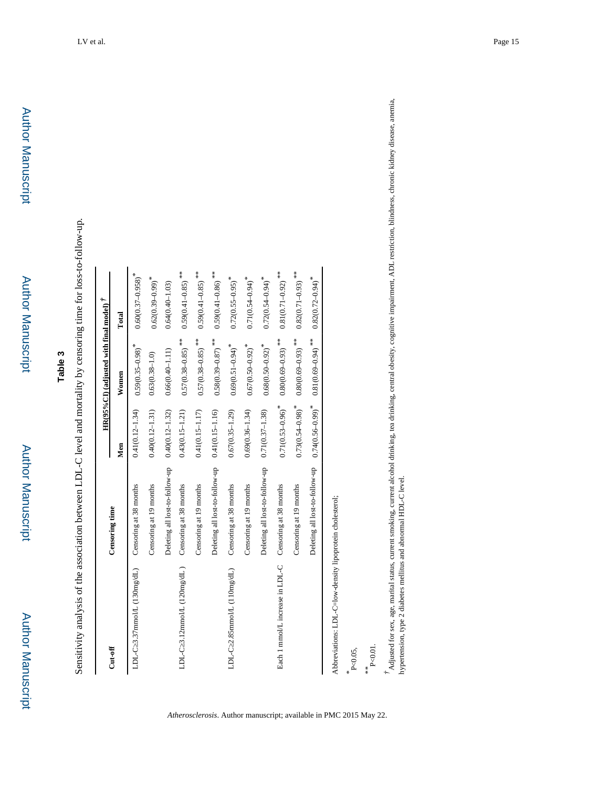Sensitivity analysis of the association between LDL-C level and mortality by censoring time for loss-to-follow-up. Sensitivity analysis of the association between LDL-C level and mortality by censoring time for loss-to-follow-up.

|                                                        |                                |                                  | $HR(95\%CI)$ (adjusted with final model) $\ddot{\tau}$ |                                   |
|--------------------------------------------------------|--------------------------------|----------------------------------|--------------------------------------------------------|-----------------------------------|
| $Cut-off$                                              | Censoring time                 | Men                              | Women                                                  | Total                             |
| LDL-C 3.37mmol/L (130mg/dL)                            | Censoring at 38 months         | $0.41(0.12 - 1.34)$              | $0.59(0.35-0.98)$ <sup>*</sup>                         | $0.60(0.37 - 0.958)$ <sup>*</sup> |
|                                                        | Censoring at 19 months         | $0.40(0.12 - 1.31)$              | $0.63(0.38 - 1.0)$                                     | $0.62(0.39 - 0.99)$ <sup>*</sup>  |
|                                                        | Deleting all lost-to-follow-up | $0.40(0.12 - 1.32)$              | $0.66(0.40 - 1.11)$                                    | $0.64(0.40 - 1.03)$               |
| LDL-C $3.12$ mmol/L $(120mg/dL)$                       | Censoring at 38 months         | $0.43(0.15 - 1.21)$              | $0.57(0.38 - 0.85)$ **                                 | $0.59(0.41 - 0.85)$ **            |
|                                                        | Censoring at 19 months         | $0.41(0.15 - 1.17)$              | $0.57(0.38 - 0.85)$ **                                 | $0.59(0.41 - 0.85)$ **            |
|                                                        | Deleting all lost-to-follow-up | $0.41(0.15 - 1.16)$              | $0.58(0.39 - 0.87)$ **                                 | $0.59(0.41 - 0.86)$ **            |
| LDL-C 2.85mmolL (110mg/dL)                             | Censoring at 38 months         | $0.67(0.35 - 1.29)$              | $0.69(0.51 - 0.94)$ <sup>*</sup>                       | $0.72(0.55 - 0.95)$ <sup>*</sup>  |
|                                                        | Censoring at 19 months         | $0.69(0.36 - 1.34)$              | $0.67(0.50 - 0.92)$ <sup>*</sup>                       | $0.71(0.54 - 0.94)^*$             |
|                                                        | Deleting all lost-to-follow-up | $0.71(0.37 - 1.38)$              | $0.68(0.50 - 0.92)$ <sup>*</sup>                       | $0.72(0.54 - 0.94)^*$             |
| Each 1 mmol/L increase in LDL-C Censoring at 38 months |                                | $0.71(0.53 - 0.96)$ <sup>*</sup> | $0.80(0.69-0.93)$ **                                   | $0.81(0.71-0.92)$ **              |
|                                                        | Censoring at 19 months         | $0.73(0.54 - 0.98)$ <sup>*</sup> | $0.80(0.69-0.93)$ **                                   | $0.82(0.71-0.93)$ **              |
|                                                        | Deleting all lost-to-follow-up | $0.74(0.56 - 0.99)^{*}$          | $0.81(0.69\hbox{--}0.94)$ **                           | $0.82(0.72 - 0.94)$ <sup>*</sup>  |

*\** P<0.05,

*Atherosclerosis*. Author manuscript; available in PMC 2015 May 22.

*\*\** P<0.01.

 $^{\dagger}$ Adjusted for sex, age, marial status, current smoking, current alcohol drinking, tea drinking, central obesity, cognitive impairment, ADL restriction, blindness, chronic kidney disease, anemia,<br>hypertension, type 2 *†*Adjusted for sex, age, marital status, current smoking, current alcohol drinking, tea drinking, central obesity, cognitive impairment, ADL restriction, blindness, chronic kidney disease, anemia,

hypertension, type 2 diabetes mellitus and abnormal HDL-C level.